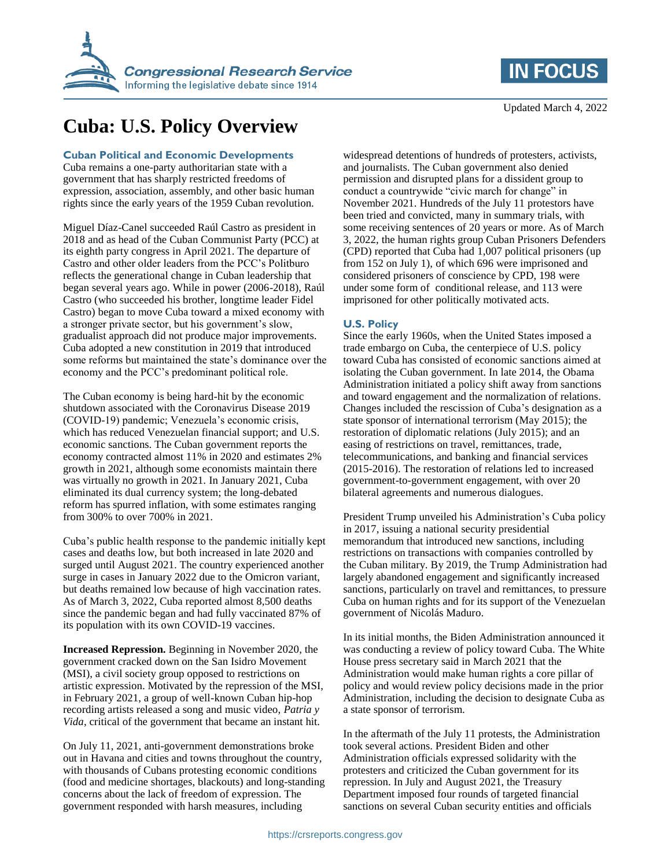

# **Cuba: U.S. Policy Overview**

#### **Cuban Political and Economic Developments**

Cuba remains a one-party authoritarian state with a government that has sharply restricted freedoms of expression, association, assembly, and other basic human rights since the early years of the 1959 Cuban revolution.

Miguel Díaz-Canel succeeded Raúl Castro as president in 2018 and as head of the Cuban Communist Party (PCC) at its eighth party congress in April 2021. The departure of Castro and other older leaders from the PCC's Politburo reflects the generational change in Cuban leadership that began several years ago. While in power (2006-2018), Raúl Castro (who succeeded his brother, longtime leader Fidel Castro) began to move Cuba toward a mixed economy with a stronger private sector, but his government's slow, gradualist approach did not produce major improvements. Cuba adopted a new constitution in 2019 that introduced some reforms but maintained the state's dominance over the economy and the PCC's predominant political role.

The Cuban economy is being hard-hit by the economic shutdown associated with the Coronavirus Disease 2019 (COVID-19) pandemic; Venezuela's economic crisis, which has reduced Venezuelan financial support; and U.S. economic sanctions. The Cuban government reports the economy contracted almost 11% in 2020 and estimates 2% growth in 2021, although some economists maintain there was virtually no growth in 2021. In January 2021, Cuba eliminated its dual currency system; the long-debated reform has spurred inflation, with some estimates ranging from 300% to over 700% in 2021.

Cuba's public health response to the pandemic initially kept cases and deaths low, but both increased in late 2020 and surged until August 2021. The country experienced another surge in cases in January 2022 due to the Omicron variant, but deaths remained low because of high vaccination rates. As of March 3, 2022, Cuba reported almost 8,500 deaths since the pandemic began and had fully vaccinated 87% of its population with its own COVID-19 vaccines.

**Increased Repression.** Beginning in November 2020, the government cracked down on the San Isidro Movement (MSI), a civil society group opposed to restrictions on artistic expression. Motivated by the repression of the MSI, in February 2021, a group of well-known Cuban hip-hop recording artists released a song and music video, *Patria y Vida*, critical of the government that became an instant hit.

On July 11, 2021, anti-government demonstrations broke out in Havana and cities and towns throughout the country, with thousands of Cubans protesting economic conditions (food and medicine shortages, blackouts) and long-standing concerns about the lack of freedom of expression. The government responded with harsh measures, including

#### widespread detentions of hundreds of protesters, activists, and journalists. The Cuban government also denied permission and disrupted plans for a dissident group to conduct a countrywide "civic march for change" in November 2021. Hundreds of the July 11 protestors have been tried and convicted, many in summary trials, with some receiving sentences of 20 years or more. As of March 3, 2022, the human rights group Cuban Prisoners Defenders (CPD) reported that Cuba had 1,007 political prisoners (up from 152 on July 1), of which 696 were imprisoned and considered prisoners of conscience by CPD, 198 were under some form of conditional release, and 113 were imprisoned for other politically motivated acts.

### **U.S. Policy**

Since the early 1960s, when the United States imposed a trade embargo on Cuba, the centerpiece of U.S. policy toward Cuba has consisted of economic sanctions aimed at isolating the Cuban government. In late 2014, the Obama Administration initiated a policy shift away from sanctions and toward engagement and the normalization of relations. Changes included the rescission of Cuba's designation as a state sponsor of international terrorism (May 2015); the restoration of diplomatic relations (July 2015); and an easing of restrictions on travel, remittances, trade, telecommunications, and banking and financial services (2015-2016). The restoration of relations led to increased government-to-government engagement, with over 20 bilateral agreements and numerous dialogues.

President Trump unveiled his Administration's Cuba policy in 2017, issuing a national security presidential memorandum that introduced new sanctions, including restrictions on transactions with companies controlled by the Cuban military. By 2019, the Trump Administration had largely abandoned engagement and significantly increased sanctions, particularly on travel and remittances, to pressure Cuba on human rights and for its support of the Venezuelan government of Nicolás Maduro.

In its initial months, the Biden Administration announced it was conducting a review of policy toward Cuba. The White House press secretary said in March 2021 that the Administration would make human rights a core pillar of policy and would review policy decisions made in the prior Administration, including the decision to designate Cuba as a state sponsor of terrorism.

In the aftermath of the July 11 protests, the Administration took several actions. President Biden and other Administration officials expressed solidarity with the protesters and criticized the Cuban government for its repression. In July and August 2021, the Treasury Department imposed four rounds of targeted financial sanctions on several Cuban security entities and officials

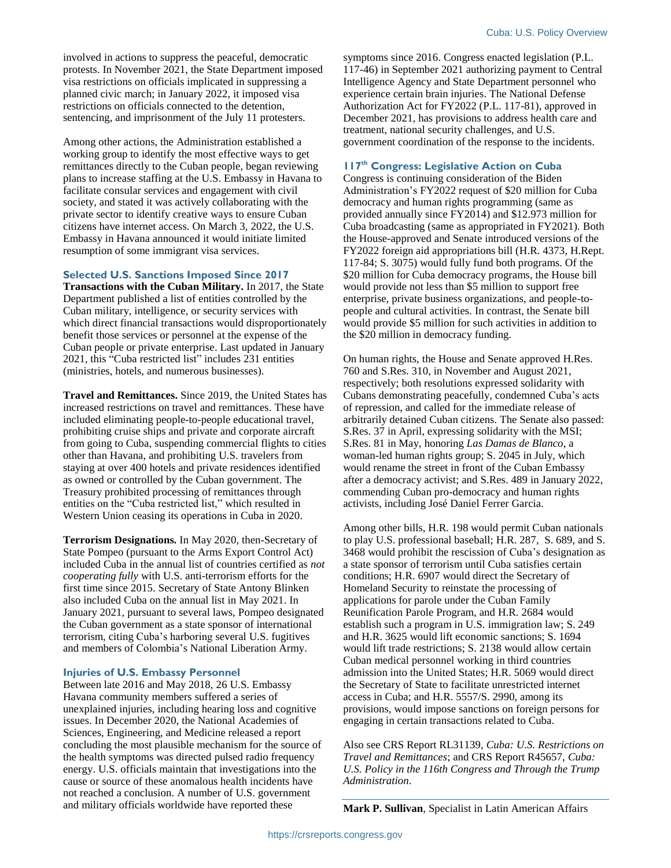involved in actions to suppress the peaceful, democratic protests. In November 2021, the State Department imposed visa restrictions on officials implicated in suppressing a planned civic march; in January 2022, it imposed visa restrictions on officials connected to the detention, sentencing, and imprisonment of the July 11 protesters.

Among other actions, the Administration established a working group to identify the most effective ways to get remittances directly to the Cuban people, began reviewing plans to increase staffing at the U.S. Embassy in Havana to facilitate consular services and engagement with civil society, and stated it was actively collaborating with the private sector to identify creative ways to ensure Cuban citizens have internet access. On March 3, 2022, the U.S. Embassy in Havana announced it would initiate limited resumption of some immigrant visa services.

#### **Selected U.S. Sanctions Imposed Since 2017**

**Transactions with the Cuban Military.** In 2017, the State Department published a list of entities controlled by the Cuban military, intelligence, or security services with which direct financial transactions would disproportionately benefit those services or personnel at the expense of the Cuban people or private enterprise. Last updated in January 2021, this "Cuba restricted list" includes 231 entities (ministries, hotels, and numerous businesses).

**Travel and Remittances.** Since 2019, the United States has increased restrictions on travel and remittances. These have included eliminating people-to-people educational travel, prohibiting cruise ships and private and corporate aircraft from going to Cuba, suspending commercial flights to cities other than Havana, and prohibiting U.S. travelers from staying at over 400 hotels and private residences identified as owned or controlled by the Cuban government. The Treasury prohibited processing of remittances through entities on the "Cuba restricted list," which resulted in Western Union ceasing its operations in Cuba in 2020.

**Terrorism Designations.** In May 2020, then-Secretary of State Pompeo (pursuant to the Arms Export Control Act) included Cuba in the annual list of countries certified as *not cooperating fully* with U.S. anti-terrorism efforts for the first time since 2015. Secretary of State Antony Blinken also included Cuba on the annual list in May 2021. In January 2021, pursuant to several laws, Pompeo designated the Cuban government as a state sponsor of international terrorism, citing Cuba's harboring several U.S. fugitives and members of Colombia's National Liberation Army.

#### **Injuries of U.S. Embassy Personnel**

Between late 2016 and May 2018, 26 U.S. Embassy Havana community members suffered a series of unexplained injuries, including hearing loss and cognitive issues. In December 2020, the National Academies of Sciences, Engineering, and Medicine released a report concluding the most plausible mechanism for the source of the health symptoms was directed pulsed radio frequency energy. U.S. officials maintain that investigations into the cause or source of these anomalous health incidents have not reached a conclusion. A number of U.S. government and military officials worldwide have reported these

symptoms since 2016. Congress enacted legislation (P.L. 117-46) in September 2021 authorizing payment to Central Intelligence Agency and State Department personnel who experience certain brain injuries. The National Defense Authorization Act for FY2022 (P.L. 117-81), approved in December 2021, has provisions to address health care and treatment, national security challenges, and U.S. government coordination of the response to the incidents.

## **117 th Congress: Legislative Action on Cuba**

Congress is continuing consideration of the Biden Administration's FY2022 request of \$20 million for Cuba democracy and human rights programming (same as provided annually since FY2014) and \$12.973 million for Cuba broadcasting (same as appropriated in FY2021). Both the House-approved and Senate introduced versions of the FY2022 foreign aid appropriations bill (H.R. 4373, H.Rept. 117-84; S. 3075) would fully fund both programs. Of the \$20 million for Cuba democracy programs, the House bill would provide not less than \$5 million to support free enterprise, private business organizations, and people-topeople and cultural activities. In contrast, the Senate bill would provide \$5 million for such activities in addition to the \$20 million in democracy funding.

On human rights, the House and Senate approved H.Res. 760 and S.Res. 310, in November and August 2021, respectively; both resolutions expressed solidarity with Cubans demonstrating peacefully, condemned Cuba's acts of repression, and called for the immediate release of arbitrarily detained Cuban citizens. The Senate also passed: S.Res. 37 in April, expressing solidarity with the MSI; S.Res. 81 in May, honoring *Las Damas de Blanco*, a woman-led human rights group; S. 2045 in July, which would rename the street in front of the Cuban Embassy after a democracy activist; and S.Res. 489 in January 2022, commending Cuban pro-democracy and human rights activists, including José Daniel Ferrer Garcia.

Among other bills, H.R. 198 would permit Cuban nationals to play U.S. professional baseball; H.R. 287, S. 689, and S. 3468 would prohibit the rescission of Cuba's designation as a state sponsor of terrorism until Cuba satisfies certain conditions; H.R. 6907 would direct the Secretary of Homeland Security to reinstate the processing of applications for parole under the Cuban Family Reunification Parole Program, and H.R. 2684 would establish such a program in U.S. immigration law; S. 249 and H.R. 3625 would lift economic sanctions; S. 1694 would lift trade restrictions; S. 2138 would allow certain Cuban medical personnel working in third countries admission into the United States; H.R. 5069 would direct the Secretary of State to facilitate unrestricted internet access in Cuba; and H.R. 5557/S. 2990, among its provisions, would impose sanctions on foreign persons for engaging in certain transactions related to Cuba.

Also see CRS Report RL31139, *Cuba: U.S. Restrictions on Travel and Remittances*; and CRS Report R45657, *Cuba: U.S. Policy in the 116th Congress and Through the Trump Administration*.

**Mark P. Sullivan**, Specialist in Latin American Affairs